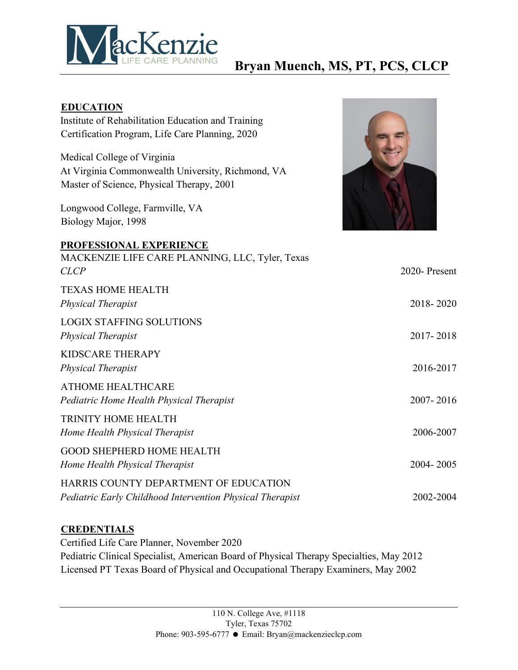

## **Bryan Muench, MS, PT, PCS, CLCP**

| <b>EDUCATION</b>                                          |              |
|-----------------------------------------------------------|--------------|
| Institute of Rehabilitation Education and Training        |              |
| Certification Program, Life Care Planning, 2020           |              |
| Medical College of Virginia                               |              |
| At Virginia Commonwealth University, Richmond, VA         |              |
| Master of Science, Physical Therapy, 2001                 |              |
| Longwood College, Farmville, VA<br>Biology Major, 1998    |              |
| <b>PROFESSIONAL EXPERIENCE</b>                            |              |
| MACKENZIE LIFE CARE PLANNING, LLC, Tyler, Texas           |              |
| CLCP                                                      | 2020-Present |
| <b>TEXAS HOME HEALTH</b>                                  |              |
|                                                           |              |
| Physical Therapist                                        | 2018-2020    |
| <b>LOGIX STAFFING SOLUTIONS</b>                           |              |
| <b>Physical Therapist</b>                                 | 2017-2018    |
| <b>KIDSCARE THERAPY</b>                                   |              |
|                                                           | 2016-2017    |
| Physical Therapist                                        |              |
| <b>ATHOME HEALTHCARE</b>                                  |              |
| Pediatric Home Health Physical Therapist                  | 2007-2016    |
| TRINITY HOME HEALTH                                       |              |
|                                                           | 2006-2007    |
| Home Health Physical Therapist                            |              |
| <b>GOOD SHEPHERD HOME HEALTH</b>                          |              |
| Home Health Physical Therapist                            | 2004-2005    |
| HARRIS COUNTY DEPARTMENT OF EDUCATION                     |              |
| Pediatric Early Childhood Intervention Physical Therapist | 2002-2004    |
|                                                           |              |

## **CREDENTIALS**

Certified Life Care Planner, November 2020 Pediatric Clinical Specialist, American Board of Physical Therapy Specialties, May 2012 Licensed PT Texas Board of Physical and Occupational Therapy Examiners, May 2002